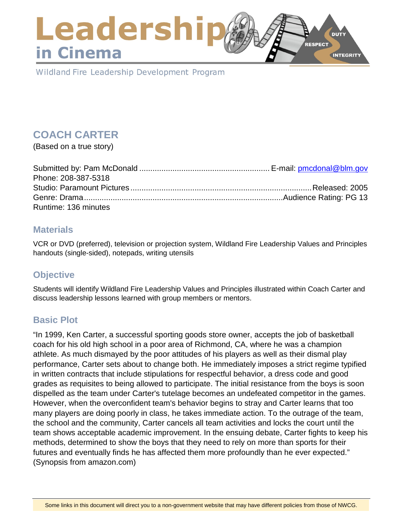# Leadershi **DUTY RESPECT** in Cinema **INTEGRITY**

Wildland Fire Leadership Development Program

# **COACH CARTER**

(Based on a true story)

| Phone: 208-387-5318  |  |
|----------------------|--|
|                      |  |
|                      |  |
| Runtime: 136 minutes |  |

### **Materials**

VCR or DVD (preferred), television or projection system, Wildland Fire Leadership Values and Principles handouts (single-sided), notepads, writing utensils

# **Objective**

Students will identify Wildland Fire Leadership Values and Principles illustrated within Coach Carter and discuss leadership lessons learned with group members or mentors.

# **Basic Plot**

"In 1999, Ken Carter, a successful sporting goods store owner, accepts the job of basketball coach for his old high school in a poor area of Richmond, CA, where he was a champion athlete. As much dismayed by the poor attitudes of his players as well as their dismal play performance, Carter sets about to change both. He immediately imposes a strict regime typified in written contracts that include stipulations for respectful behavior, a dress code and good grades as requisites to being allowed to participate. The initial resistance from the boys is soon dispelled as the team under Carter's tutelage becomes an undefeated competitor in the games. However, when the overconfident team's behavior begins to stray and Carter learns that too many players are doing poorly in class, he takes immediate action. To the outrage of the team, the school and the community, Carter cancels all team activities and locks the court until the team shows acceptable academic improvement. In the ensuing debate, Carter fights to keep his methods, determined to show the boys that they need to rely on more than sports for their futures and eventually finds he has affected them more profoundly than he ever expected." (Synopsis from amazon.com)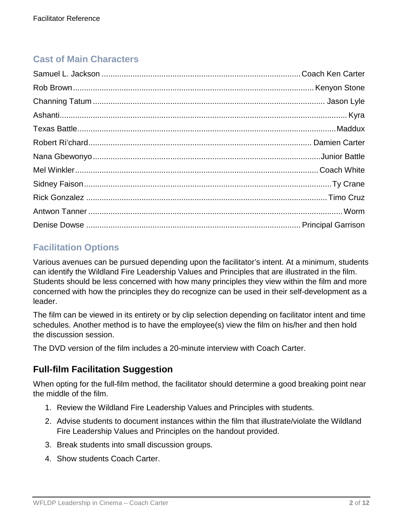# **Cast of Main Characters**

# **Facilitation Options**

Various avenues can be pursued depending upon the facilitator's intent. At a minimum, students can identify the Wildland Fire Leadership Values and Principles that are illustrated in the film. Students should be less concerned with how many principles they view within the film and more concerned with how the principles they do recognize can be used in their self-development as a leader.

The film can be viewed in its entirety or by clip selection depending on facilitator intent and time schedules. Another method is to have the employee(s) view the film on his/her and then hold the discussion session.

The DVD version of the film includes a 20-minute interview with Coach Carter.

### **Full-film Facilitation Suggestion**

When opting for the full-film method, the facilitator should determine a good breaking point near the middle of the film.

- 1. Review the Wildland Fire Leadership Values and Principles with students.
- 2. Advise students to document instances within the film that illustrate/violate the Wildland Fire Leadership Values and Principles on the handout provided.
- 3. Break students into small discussion groups.
- 4. Show students Coach Carter.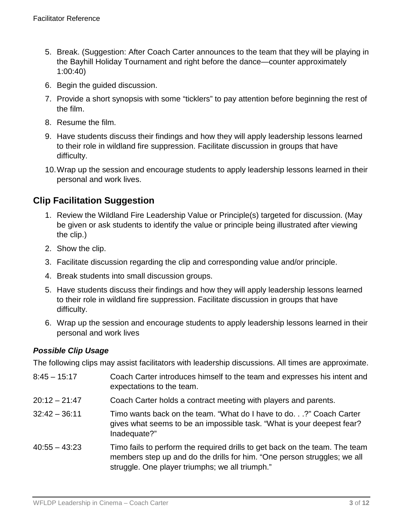- 5. Break. (Suggestion: After Coach Carter announces to the team that they will be playing in the Bayhill Holiday Tournament and right before the dance—counter approximately 1:00:40)
- 6. Begin the guided discussion.
- 7. Provide a short synopsis with some "ticklers" to pay attention before beginning the rest of the film.
- 8. Resume the film.
- 9. Have students discuss their findings and how they will apply leadership lessons learned to their role in wildland fire suppression. Facilitate discussion in groups that have difficulty.
- 10.Wrap up the session and encourage students to apply leadership lessons learned in their personal and work lives.

# **Clip Facilitation Suggestion**

- 1. Review the Wildland Fire Leadership Value or Principle(s) targeted for discussion. (May be given or ask students to identify the value or principle being illustrated after viewing the clip.)
- 2. Show the clip.
- 3. Facilitate discussion regarding the clip and corresponding value and/or principle.
- 4. Break students into small discussion groups.
- 5. Have students discuss their findings and how they will apply leadership lessons learned to their role in wildland fire suppression. Facilitate discussion in groups that have difficulty.
- 6. Wrap up the session and encourage students to apply leadership lessons learned in their personal and work lives

### *Possible Clip Usage*

The following clips may assist facilitators with leadership discussions. All times are approximate.

8:45 – 15:17 Coach Carter introduces himself to the team and expresses his intent and expectations to the team. 20:12 – 21:47 Coach Carter holds a contract meeting with players and parents. 32:42 – 36:11 Timo wants back on the team. "What do I have to do. . .?" Coach Carter gives what seems to be an impossible task. "What is your deepest fear? Inadequate?" 40:55 – 43:23 Timo fails to perform the required drills to get back on the team. The team members step up and do the drills for him. "One person struggles; we all struggle. One player triumphs; we all triumph."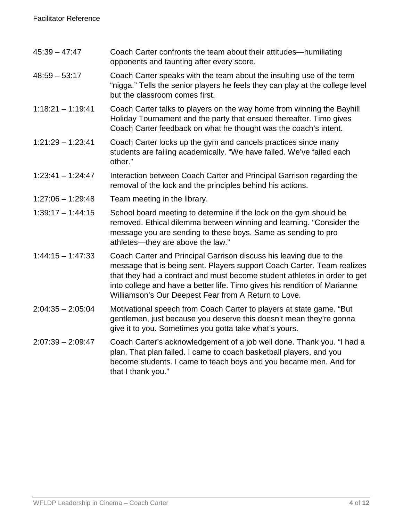| $45:39 - 47:47$     | Coach Carter confronts the team about their attitudes—humiliating<br>opponents and taunting after every score.                                                                                                                                                                                                                                                  |
|---------------------|-----------------------------------------------------------------------------------------------------------------------------------------------------------------------------------------------------------------------------------------------------------------------------------------------------------------------------------------------------------------|
| $48:59 - 53:17$     | Coach Carter speaks with the team about the insulting use of the term<br>"nigga." Tells the senior players he feels they can play at the college level<br>but the classroom comes first.                                                                                                                                                                        |
| $1:18:21 - 1:19:41$ | Coach Carter talks to players on the way home from winning the Bayhill<br>Holiday Tournament and the party that ensued thereafter. Timo gives<br>Coach Carter feedback on what he thought was the coach's intent.                                                                                                                                               |
| $1:21:29 - 1:23:41$ | Coach Carter locks up the gym and cancels practices since many<br>students are failing academically. "We have failed. We've failed each<br>other."                                                                                                                                                                                                              |
| $1:23:41 - 1:24:47$ | Interaction between Coach Carter and Principal Garrison regarding the<br>removal of the lock and the principles behind his actions.                                                                                                                                                                                                                             |
| $1:27:06 - 1:29:48$ | Team meeting in the library.                                                                                                                                                                                                                                                                                                                                    |
| $1:39:17 - 1:44:15$ | School board meeting to determine if the lock on the gym should be<br>removed. Ethical dilemma between winning and learning. "Consider the<br>message you are sending to these boys. Same as sending to pro<br>athletes-they are above the law."                                                                                                                |
| $1:44:15 - 1:47:33$ | Coach Carter and Principal Garrison discuss his leaving due to the<br>message that is being sent. Players support Coach Carter. Team realizes<br>that they had a contract and must become student athletes in order to get<br>into college and have a better life. Timo gives his rendition of Marianne<br>Williamson's Our Deepest Fear from A Return to Love. |
| $2:04:35 - 2:05:04$ | Motivational speech from Coach Carter to players at state game. "But<br>gentlemen, just because you deserve this doesn't mean they're gonna<br>give it to you. Sometimes you gotta take what's yours.                                                                                                                                                           |
| $2:07:39 - 2:09:47$ | Coach Carter's acknowledgement of a job well done. Thank you. "I had a<br>plan. That plan failed. I came to coach basketball players, and you<br>become students. I came to teach boys and you became men. And for<br>that I thank you."                                                                                                                        |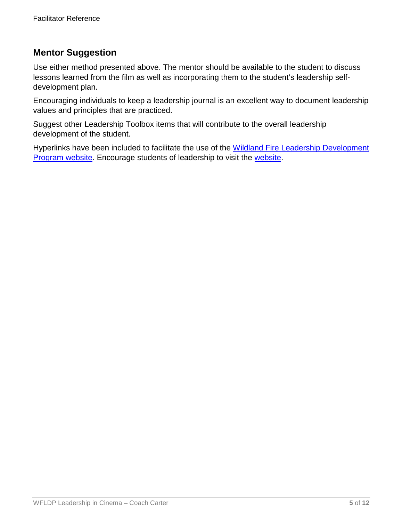# **Mentor Suggestion**

Use either method presented above. The mentor should be available to the student to discuss lessons learned from the film as well as incorporating them to the student's leadership selfdevelopment plan.

Encouraging individuals to keep a leadership journal is an excellent way to document leadership values and principles that are practiced.

Suggest other Leadership Toolbox items that will contribute to the overall leadership development of the student.

Hyperlinks have been included to facilitate the use of the Wildland Fire Leadership Development [Program website.](http://www.fireleadership.gov/) Encourage students of leadership to visit the [website.](http://www.fireleadership.gov/)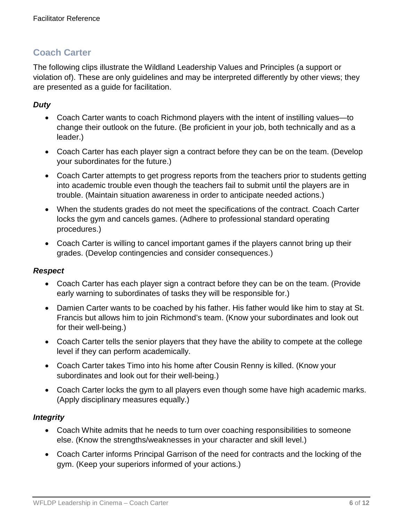The following clips illustrate the Wildland Leadership Values and Principles (a support or violation of). These are only guidelines and may be interpreted differently by other views; they are presented as a guide for facilitation.

### *Duty*

- Coach Carter wants to coach Richmond players with the intent of instilling values—to change their outlook on the future. (Be proficient in your job, both technically and as a leader.)
- Coach Carter has each player sign a contract before they can be on the team. (Develop your subordinates for the future.)
- Coach Carter attempts to get progress reports from the teachers prior to students getting into academic trouble even though the teachers fail to submit until the players are in trouble. (Maintain situation awareness in order to anticipate needed actions.)
- When the students grades do not meet the specifications of the contract. Coach Carter locks the gym and cancels games. (Adhere to professional standard operating procedures.)
- Coach Carter is willing to cancel important games if the players cannot bring up their grades. (Develop contingencies and consider consequences.)

### *Respect*

- Coach Carter has each player sign a contract before they can be on the team. (Provide early warning to subordinates of tasks they will be responsible for.)
- Damien Carter wants to be coached by his father. His father would like him to stay at St. Francis but allows him to join Richmond's team. (Know your subordinates and look out for their well-being.)
- Coach Carter tells the senior players that they have the ability to compete at the college level if they can perform academically.
- Coach Carter takes Timo into his home after Cousin Renny is killed. (Know your subordinates and look out for their well-being.)
- Coach Carter locks the gym to all players even though some have high academic marks. (Apply disciplinary measures equally.)

### *Integrity*

- Coach White admits that he needs to turn over coaching responsibilities to someone else. (Know the strengths/weaknesses in your character and skill level.)
- Coach Carter informs Principal Garrison of the need for contracts and the locking of the gym. (Keep your superiors informed of your actions.)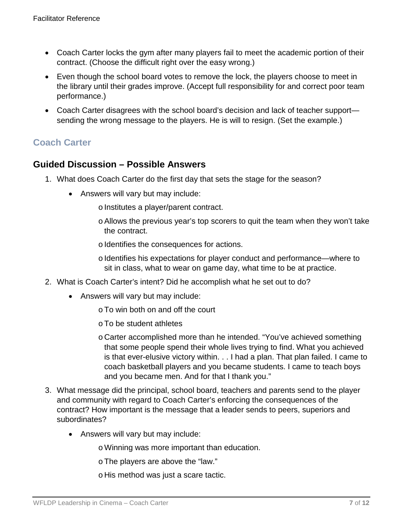- Coach Carter locks the gym after many players fail to meet the academic portion of their contract. (Choose the difficult right over the easy wrong.)
- Even though the school board votes to remove the lock, the players choose to meet in the library until their grades improve. (Accept full responsibility for and correct poor team performance.)
- Coach Carter disagrees with the school board's decision and lack of teacher support sending the wrong message to the players. He is will to resign. (Set the example.)

### **Guided Discussion – Possible Answers**

- 1. What does Coach Carter do the first day that sets the stage for the season?
	- Answers will vary but may include:
		- o Institutes a player/parent contract.
		- oAllows the previous year's top scorers to quit the team when they won't take the contract.
		- o Identifies the consequences for actions.
		- o Identifies his expectations for player conduct and performance—where to sit in class, what to wear on game day, what time to be at practice.
- 2. What is Coach Carter's intent? Did he accomplish what he set out to do?
	- Answers will vary but may include:
		- oTo win both on and off the court
		- oTo be student athletes
		- o Carter accomplished more than he intended. "You've achieved something that some people spend their whole lives trying to find. What you achieved is that ever-elusive victory within. . . I had a plan. That plan failed. I came to coach basketball players and you became students. I came to teach boys and you became men. And for that I thank you."
- 3. What message did the principal, school board, teachers and parents send to the player and community with regard to Coach Carter's enforcing the consequences of the contract? How important is the message that a leader sends to peers, superiors and subordinates?
	- Answers will vary but may include:
		- oWinning was more important than education.
		- oThe players are above the "law."
		- o His method was just a scare tactic.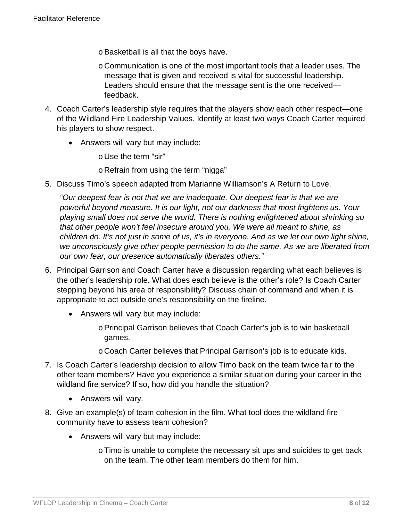- oBasketball is all that the boys have.
- o Communication is one of the most important tools that a leader uses. The message that is given and received is vital for successful leadership. Leaders should ensure that the message sent is the one received feedback.
- 4. Coach Carter's leadership style requires that the players show each other respect—one of the Wildland Fire Leadership Values. Identify at least two ways Coach Carter required his players to show respect.
	- Answers will vary but may include:

o Use the term "sir"

o Refrain from using the term "nigga"

5. Discuss Timo's speech adapted from Marianne Williamson's A Return to Love.

*"Our deepest fear is not that we are inadequate. Our deepest fear is that we are powerful beyond measure. It is our light, not our darkness that most frightens us. Your playing small does not serve the world. There is nothing enlightened about shrinking so that other people won't feel insecure around you. We were all meant to shine, as children do. It's not just in some of us, it's in everyone. And as we let our own light shine, we unconsciously give other people permission to do the same. As we are liberated from our own fear, our presence automatically liberates others."*

- 6. Principal Garrison and Coach Carter have a discussion regarding what each believes is the other's leadership role. What does each believe is the other's role? Is Coach Carter stepping beyond his area of responsibility? Discuss chain of command and when it is appropriate to act outside one's responsibility on the fireline.
	- Answers will vary but may include:
		- oPrincipal Garrison believes that Coach Carter's job is to win basketball games.
		- o Coach Carter believes that Principal Garrison's job is to educate kids.
- 7. Is Coach Carter's leadership decision to allow Timo back on the team twice fair to the other team members? Have you experience a similar situation during your career in the wildland fire service? If so, how did you handle the situation?
	- Answers will vary.
- 8. Give an example(s) of team cohesion in the film. What tool does the wildland fire community have to assess team cohesion?
	- Answers will vary but may include:
		- oTimo is unable to complete the necessary sit ups and suicides to get back on the team. The other team members do them for him.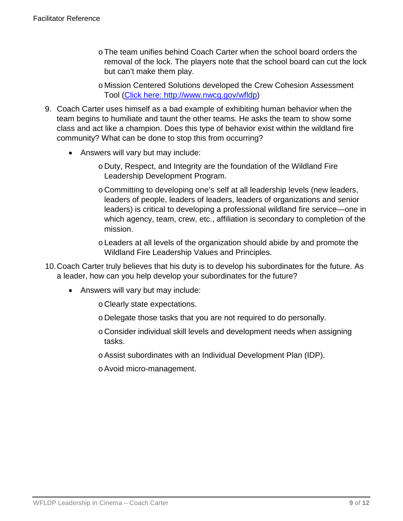- oThe team unifies behind Coach Carter when the school board orders the removal of the lock. The players note that the school board can cut the lock but can't make them play.
- o Mission Centered Solutions developed the Crew Cohesion Assessment Tool [\(Click here: http://www.nwcg.gov/wfldp\)](http://www.nwcg.gov/wfldp)
- 9. Coach Carter uses himself as a bad example of exhibiting human behavior when the team begins to humiliate and taunt the other teams. He asks the team to show some class and act like a champion. Does this type of behavior exist within the wildland fire community? What can be done to stop this from occurring?
	- Answers will vary but may include:
		- o Duty, Respect, and Integrity are the foundation of the Wildland Fire Leadership Development Program.
		- o Committing to developing one's self at all leadership levels (new leaders, leaders of people, leaders of leaders, leaders of organizations and senior leaders) is critical to developing a professional wildland fire service—one in which agency, team, crew, etc., affiliation is secondary to completion of the mission.
		- o Leaders at all levels of the organization should abide by and promote the Wildland Fire Leadership Values and Principles.
- 10.Coach Carter truly believes that his duty is to develop his subordinates for the future. As a leader, how can you help develop your subordinates for the future?
	- Answers will vary but may include:
		- o Clearly state expectations.
		- o Delegate those tasks that you are not required to do personally.
		- o Consider individual skill levels and development needs when assigning tasks.
		- oAssist subordinates with an Individual Development Plan (IDP).
		- oAvoid micro-management.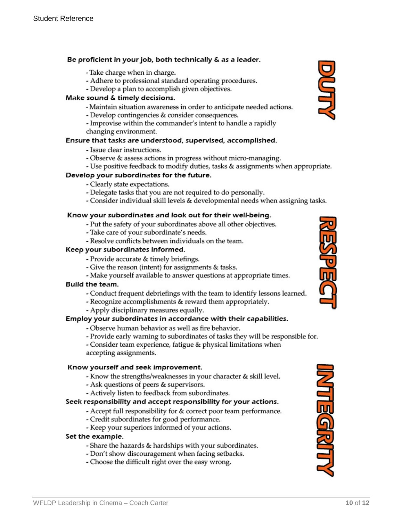#### Be proficient in your job, both technically & as a leader.

- Take charge when in charge.
- Adhere to professional standard operating procedures.
- Develop a plan to accomplish given objectives.

#### Make sound & timely decisions.

- Maintain situation awareness in order to anticipate needed actions.
- Develop contingencies & consider consequences.
- Improvise within the commander's intent to handle a rapidly changing environment.

#### Ensure that tasks are understood, supervised, accomplished.

- Issue clear instructions.
- Observe & assess actions in progress without micro-managing.
- Use positive feedback to modify duties, tasks & assignments when appropriate.

#### Develop your subordinates for the future.

- Clearly state expectations.
- Delegate tasks that you are not required to do personally.
- Consider individual skill levels & developmental needs when assigning tasks.

#### Know your subordinates and look out for their well-being.

- Put the safety of your subordinates above all other objectives.
- Take care of your subordinate's needs.
- Resolve conflicts between individuals on the team.

#### Keep your subordinates informed.

- Provide accurate & timely briefings.
- Give the reason (intent) for assignments & tasks.
- Make yourself available to answer questions at appropriate times.

#### Build the team.

- Conduct frequent debriefings with the team to identify lessons learned.
- Recognize accomplishments & reward them appropriately.
- Apply disciplinary measures equally.

#### Employ your subordinates in accordance with their capabilities.

- Observe human behavior as well as fire behavior.
- Provide early warning to subordinates of tasks they will be responsible for.

- Consider team experience, fatigue & physical limitations when accepting assignments.

#### Know yourself and seek improvement.

- Know the strengths/weaknesses in your character & skill level.
- Ask questions of peers & supervisors.
- Actively listen to feedback from subordinates.

#### Seek responsibility and accept responsibility for your actions.

- Accept full responsibility for & correct poor team performance.
- Credit subordinates for good performance.
- Keep your superiors informed of your actions.

#### Set the example.

- Share the hazards & hardships with your subordinates.
- Don't show discouragement when facing setbacks.
- Choose the difficult right over the easy wrong.





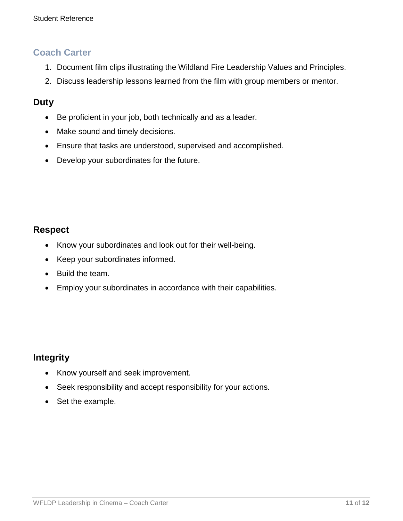- 1. Document film clips illustrating the Wildland Fire Leadership Values and Principles.
- 2. Discuss leadership lessons learned from the film with group members or mentor.

### **Duty**

- Be proficient in your job, both technically and as a leader.
- Make sound and timely decisions.
- Ensure that tasks are understood, supervised and accomplished.
- Develop your subordinates for the future.

### **Respect**

- Know your subordinates and look out for their well-being.
- Keep your subordinates informed.
- Build the team.
- Employ your subordinates in accordance with their capabilities.

# **Integrity**

- Know yourself and seek improvement.
- Seek responsibility and accept responsibility for your actions.
- Set the example.